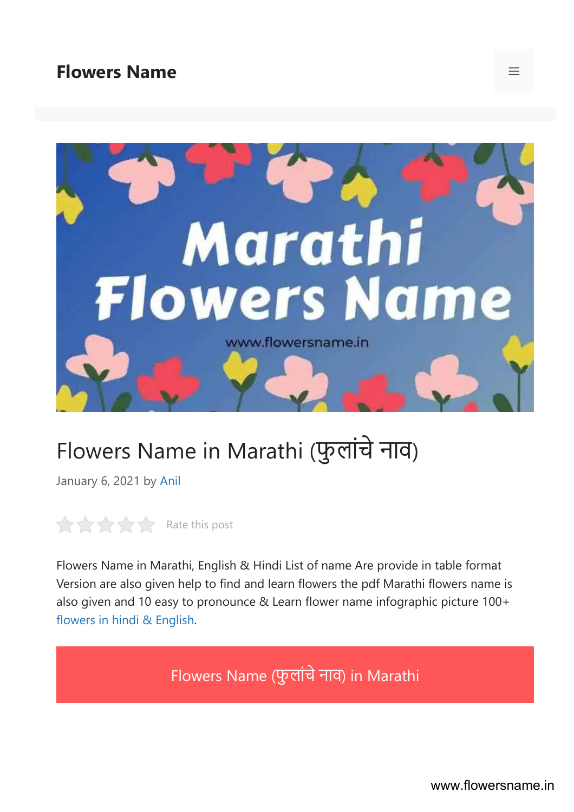#### [Flowers](https://www.flowersname.in/) Name



## Flowers Name in Marathi (फुलांचे नाव)

January 6, 2021 by [Anil](https://www.flowersname.in/author/flowersname/)

 $R$   $R$  ate this post

Flowers Name in Marathi, English & Hindi List of name Are provide in table format Version are also given help to find and learn flowers the pdf Marathi flowers name is also given and 10 easy to pronounce & Learn flower name infographic picture 100+ [flowers](https://www.flowersname.in/) in hindi & English.

Flowers Name (फुलांचे नाव) in Marathi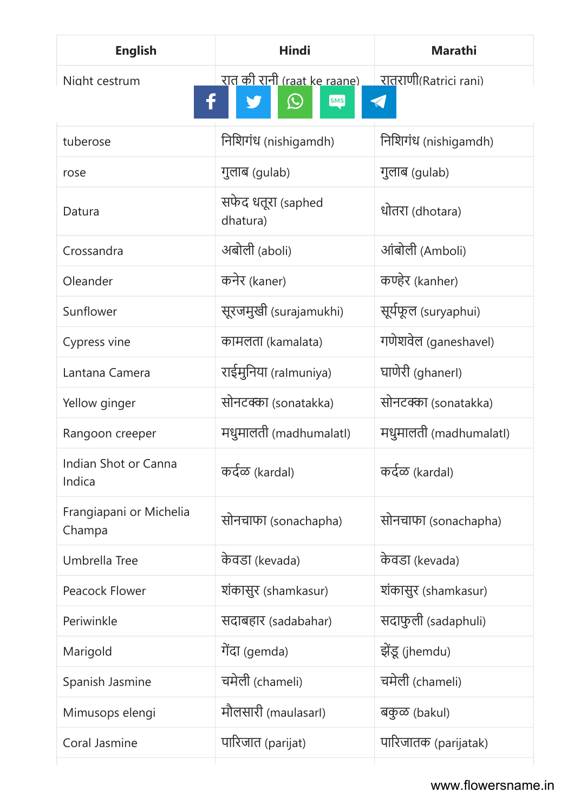| <b>English</b>                    | <b>Hindi</b>                                                    | <b>Marathi</b>         |
|-----------------------------------|-----------------------------------------------------------------|------------------------|
| Night cestrum                     | रात <u>की रानी (raat ke raane)</u><br>$\bm{\mathcal{Q}}$<br>SMS | रातराणी(Ratrici rani)  |
| tuberose                          | निशिगंध (nishigamdh)                                            | निशिगंध (nishigamdh)   |
| rose                              | गुलाब (gulab)                                                   | गुलाब (gulab)          |
| Datura                            | सफेद धतूरा (saphed<br>dhatura)                                  | धोतरा (dhotara)        |
| Crossandra                        | अबोली (aboli)                                                   | आंबोली (Amboli)        |
| Oleander                          | कनेर (kaner)                                                    | कण्हेर (kanher)        |
| Sunflower                         | सूरजमुखी (surajamukhi)                                          | सूर्यफूल (suryaphui)   |
| Cypress vine                      | कामलता (kamalata)                                               | गणेशवेल (ganeshavel)   |
| Lantana Camera                    | राईमुनिया (ralmuniya)                                           | घाणेरी (ghanerl)       |
| Yellow ginger                     | सोनटक्का (sonatakka)                                            | सोनटक्का (sonatakka)   |
| Rangoon creeper                   | मधुमालती (madhumalatl)                                          | मधुमालती (madhumalatl) |
| Indian Shot or Canna<br>Indica    | कर्दळ (kardal)                                                  | कर्दळ (kardal)         |
| Frangiapani or Michelia<br>Champa | सोनचाफा (sonachapha)                                            | सोनचाफा (sonachapha)   |
| Umbrella Tree                     | केवडा (kevada)                                                  | केवडा (kevada)         |
| Peacock Flower                    | शंकासुर (shamkasur)                                             | शंकासुर (shamkasur)    |
| Periwinkle                        | सदाबहार (sadabahar)                                             | सदाफुली (sadaphuli)    |
| Marigold                          | गेंदा (gemda)                                                   | झेंडू (jhemdu)         |
| Spanish Jasmine                   | चमेली (chameli)                                                 | चमेली (chameli)        |
| Mimusops elengi                   | मौलसारी (maulasarl)                                             | बकुळ (bakul)           |
| Coral Jasmine                     | पारिजात (parijat)                                               | पारिजातक (parijatak)   |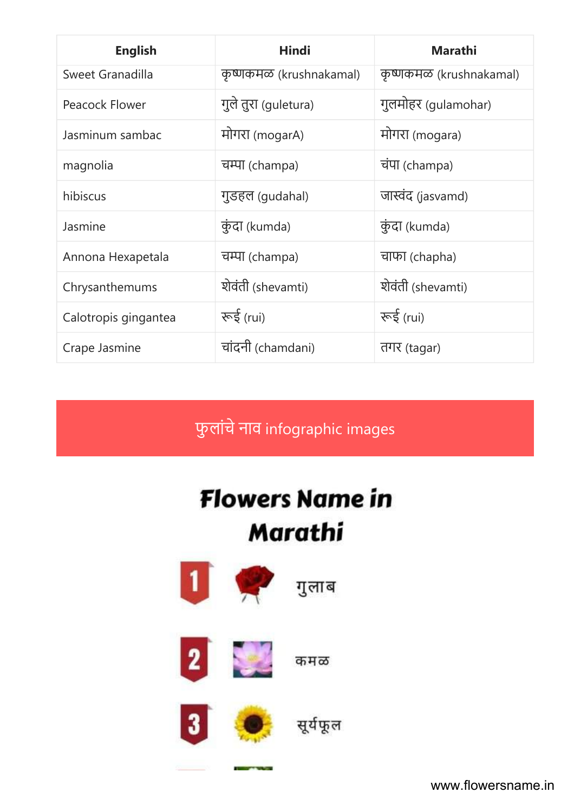| <b>English</b>       | <b>Hindi</b>            | <b>Marathi</b>           |
|----------------------|-------------------------|--------------------------|
| Sweet Granadilla     | कृष्णकमळ (krushnakamal) | कृष्णकमळ (krushnakamal)  |
| Peacock Flower       | गुले तुरा (guletura)    | गुलमोहर (gulamohar)      |
| Jasminum sambac      | मोगरा (mogarA)          | मोगरा (mogara)           |
| magnolia             | चम्पा (champa)          | चंपा (champa)            |
| hibiscus             | गुडहल (gudahal)         | जास्वंद (jasvamd)        |
| Jasmine              | कुंदा (kumda)           | कुंदा (kumda)            |
| Annona Hexapetala    | चम्पा (champa)          | चाफा (chapha)            |
| Chrysanthemums       | शेवंती (shevamti)       | शेवंती (shevamti)        |
| Calotropis gingantea | रूई (rui)               | কৰ্ <mark>ব</mark> (rui) |
| Crape Jasmine        | चांदनी (chamdani)       | तगर (tagar)              |

फुलांचे नाव infographic images

# **Flowers Name in** Marathi



www.flowersname.in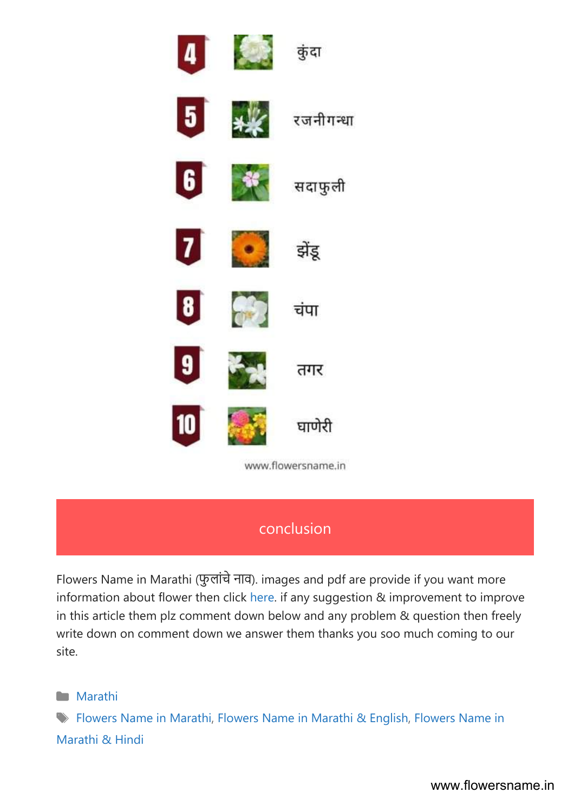

#### conclusion

Flowers Name in Marathi (फुलांचे नाव). images and pdf are provide if you want more information about flower then click [here](https://simple.wikipedia.org/wiki/Flower). if any suggestion & improvement to improve in this article them plz comment down below and any problem & question then freely write down on comment down we answer them thanks you soo much coming to our site.

**[Marathi](https://www.flowersname.in/marathi/)** 

Flowers Name in [Marathi](https://www.flowersname.in/tag/flowers-name-in-marathi/), Flowers Name in [Marathi](https://www.flowersname.in/tag/flowers-name-in-marathi-english/) & English, [Flowers](https://www.flowersname.in/tag/flowers-name-in-marathi-hindi/) Name in [Marathi](https://www.flowersname.in/tag/flowers-name-in-marathi-hindi/) & Hindi